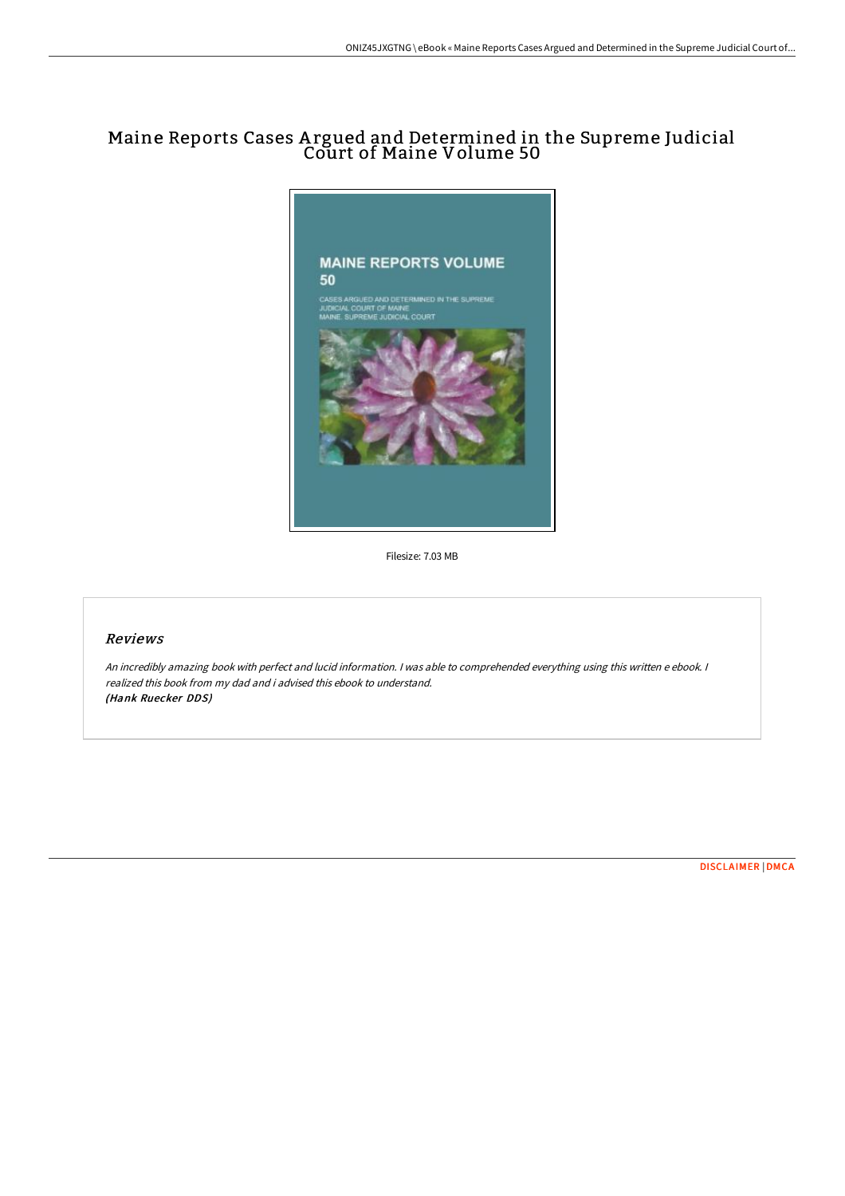# Maine Reports Cases A rgued and Determined in the Supreme Judicial Court of Maine Volume 50



Filesize: 7.03 MB

## Reviews

An incredibly amazing book with perfect and lucid information. <sup>I</sup> was able to comprehended everything using this written <sup>e</sup> ebook. <sup>I</sup> realized this book from my dad and i advised this ebook to understand. (Hank Ruecker DDS)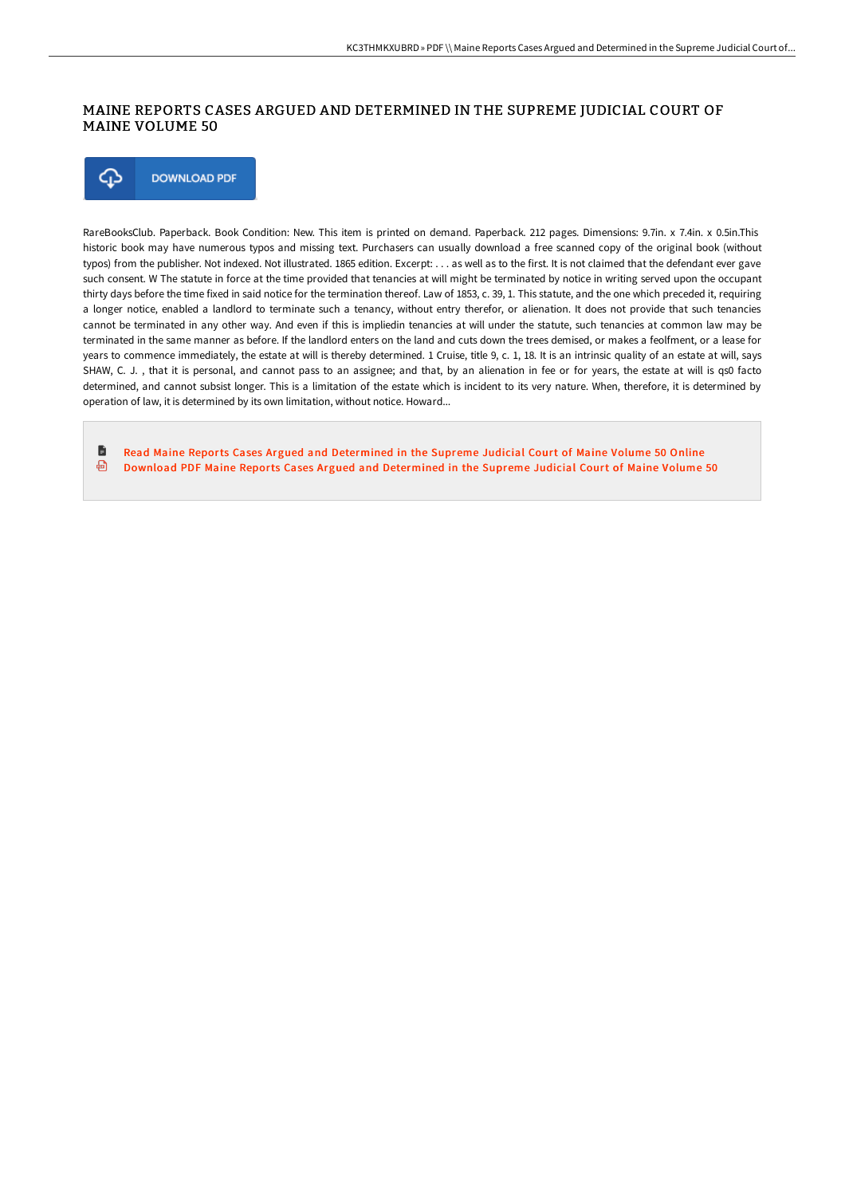### MAINE REPORTS CASES ARGUED AND DETERMINED IN THE SUPREME JUDICIAL COURT OF MAINE VOLUME 50

⊕ **DOWNLOAD PDF** 

RareBooksClub. Paperback. Book Condition: New. This item is printed on demand. Paperback. 212 pages. Dimensions: 9.7in. x 7.4in. x 0.5in.This historic book may have numerous typos and missing text. Purchasers can usually download a free scanned copy of the original book (without typos) from the publisher. Not indexed. Not illustrated. 1865 edition. Excerpt: . . . as well as to the first. It is not claimed that the defendant ever gave such consent. W The statute in force at the time provided that tenancies at will might be terminated by notice in writing served upon the occupant thirty days before the time fixed in said notice for the termination thereof. Law of 1853, c. 39, 1. This statute, and the one which preceded it, requiring a longer notice, enabled a landlord to terminate such a tenancy, without entry therefor, or alienation. It does not provide that such tenancies cannot be terminated in any other way. And even if this is impliedin tenancies at will under the statute, such tenancies at common law may be terminated in the same manner as before. If the landlord enters on the land and cuts down the trees demised, or makes a feolfment, or a lease for years to commence immediately, the estate at will is thereby determined. 1 Cruise, title 9, c. 1, 18. It is an intrinsic quality of an estate at will, says SHAW, C. J., that it is personal, and cannot pass to an assignee; and that, by an alienation in fee or for years, the estate at will is qs0 facto determined, and cannot subsist longer. This is a limitation of the estate which is incident to its very nature. When, therefore, it is determined by operation of law, it is determined by its own limitation, without notice. Howard...

旨 Read Maine Reports Cases Argued and [Determined](http://bookera.tech/maine-reports-cases-argued-and-determined-in-the-24.html) in the Supreme Judicial Court of Maine Volume 50 Online ⊕ Download PDF Maine Reports Cases Argued and [Determined](http://bookera.tech/maine-reports-cases-argued-and-determined-in-the-24.html) in the Supreme Judicial Court of Maine Volume 50